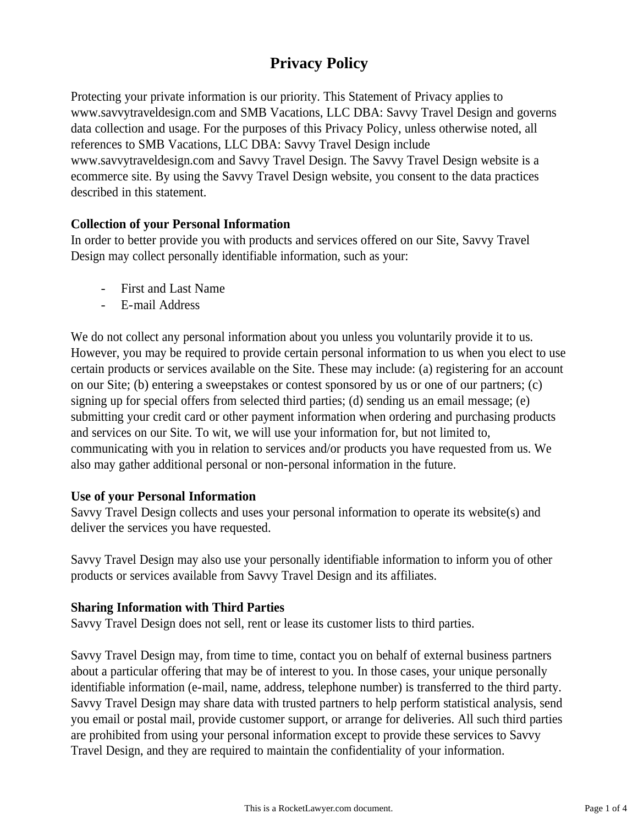# **Privacy Policy**

Protecting your private information is our priority. This Statement of Privacy applies to www.savvytraveldesign.com and SMB Vacations, LLC DBA: Savvy Travel Design and governs data collection and usage. For the purposes of this Privacy Policy, unless otherwise noted, all references to SMB Vacations, LLC DBA: Savvy Travel Design include www.savvytraveldesign.com and Savvy Travel Design. The Savvy Travel Design website is a ecommerce site. By using the Savvy Travel Design website, you consent to the data practices described in this statement.

# **Collection of your Personal Information**

In order to better provide you with products and services offered on our Site, Savvy Travel Design may collect personally identifiable information, such as your:

- First and Last Name
- E-mail Address

We do not collect any personal information about you unless you voluntarily provide it to us. However, you may be required to provide certain personal information to us when you elect to use certain products or services available on the Site. These may include: (a) registering for an account on our Site; (b) entering a sweepstakes or contest sponsored by us or one of our partners; (c) signing up for special offers from selected third parties; (d) sending us an email message; (e) submitting your credit card or other payment information when ordering and purchasing products and services on our Site. To wit, we will use your information for, but not limited to, communicating with you in relation to services and/or products you have requested from us. We also may gather additional personal or non-personal information in the future.

#### **Use of your Personal Information**

Savvy Travel Design collects and uses your personal information to operate its website(s) and deliver the services you have requested.

Savvy Travel Design may also use your personally identifiable information to inform you of other products or services available from Savvy Travel Design and its affiliates.

# **Sharing Information with Third Parties**

Savvy Travel Design does not sell, rent or lease its customer lists to third parties.

Savvy Travel Design may, from time to time, contact you on behalf of external business partners about a particular offering that may be of interest to you. In those cases, your unique personally identifiable information (e-mail, name, address, telephone number) is transferred to the third party. Savvy Travel Design may share data with trusted partners to help perform statistical analysis, send you email or postal mail, provide customer support, or arrange for deliveries. All such third parties are prohibited from using your personal information except to provide these services to Savvy Travel Design, and they are required to maintain the confidentiality of your information.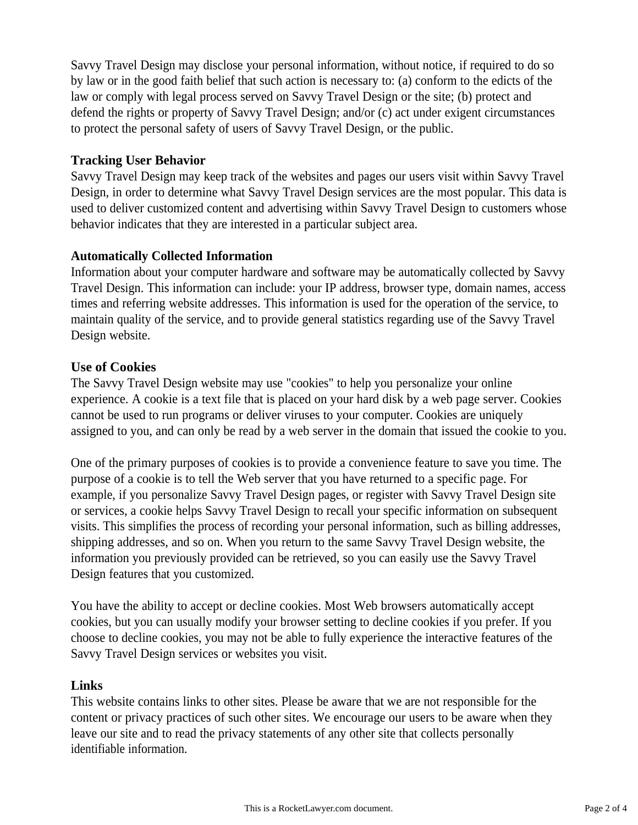Savvy Travel Design may disclose your personal information, without notice, if required to do so by law or in the good faith belief that such action is necessary to: (a) conform to the edicts of the law or comply with legal process served on Savvy Travel Design or the site; (b) protect and defend the rights or property of Savvy Travel Design; and/or (c) act under exigent circumstances to protect the personal safety of users of Savvy Travel Design, or the public.

### **Tracking User Behavior**

Savvy Travel Design may keep track of the websites and pages our users visit within Savvy Travel Design, in order to determine what Savvy Travel Design services are the most popular. This data is used to deliver customized content and advertising within Savvy Travel Design to customers whose behavior indicates that they are interested in a particular subject area.

## **Automatically Collected Information**

Information about your computer hardware and software may be automatically collected by Savvy Travel Design. This information can include: your IP address, browser type, domain names, access times and referring website addresses. This information is used for the operation of the service, to maintain quality of the service, and to provide general statistics regarding use of the Savvy Travel Design website.

## **Use of Cookies**

The Savvy Travel Design website may use "cookies" to help you personalize your online experience. A cookie is a text file that is placed on your hard disk by a web page server. Cookies cannot be used to run programs or deliver viruses to your computer. Cookies are uniquely assigned to you, and can only be read by a web server in the domain that issued the cookie to you.

One of the primary purposes of cookies is to provide a convenience feature to save you time. The purpose of a cookie is to tell the Web server that you have returned to a specific page. For example, if you personalize Savvy Travel Design pages, or register with Savvy Travel Design site or services, a cookie helps Savvy Travel Design to recall your specific information on subsequent visits. This simplifies the process of recording your personal information, such as billing addresses, shipping addresses, and so on. When you return to the same Savvy Travel Design website, the information you previously provided can be retrieved, so you can easily use the Savvy Travel Design features that you customized.

You have the ability to accept or decline cookies. Most Web browsers automatically accept cookies, but you can usually modify your browser setting to decline cookies if you prefer. If you choose to decline cookies, you may not be able to fully experience the interactive features of the Savvy Travel Design services or websites you visit.

#### **Links**

This website contains links to other sites. Please be aware that we are not responsible for the content or privacy practices of such other sites. We encourage our users to be aware when they leave our site and to read the privacy statements of any other site that collects personally identifiable information.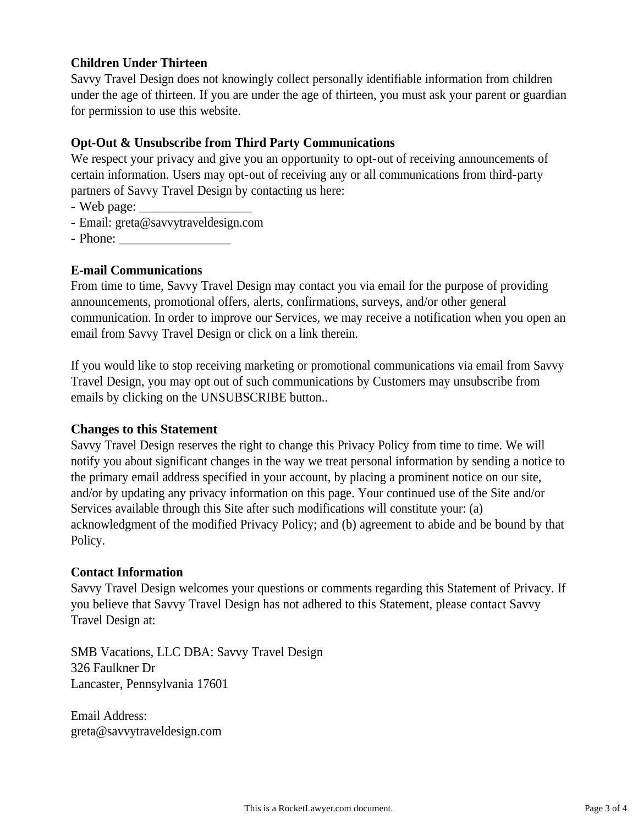# **Children Under Thirteen**

Savvy Travel Design does not knowingly collect personally identifiable information from children under the age of thirteen. If you are under the age of thirteen, you must ask your parent or guardian for permission to use this website.

# **Opt-Out & Unsubscribe from Third Party Communications**

We respect your privacy and give you an opportunity to opt-out of receiving announcements of certain information. Users may opt-out of receiving any or all communications from third-party partners of Savvy Travel Design by contacting us here:

- Web page:
- Email: greta@savvytraveldesign.com
- Phone:

# **E-mail Communications**

From time to time, Savvy Travel Design may contact you via email for the purpose of providing announcements, promotional offers, alerts, confirmations, surveys, and/or other general communication. In order to improve our Services, we may receive a notification when you open an email from Savvy Travel Design or click on a link therein.

If you would like to stop receiving marketing or promotional communications via email from Savvy Travel Design, you may opt out of such communications by Customers may unsubscribe from emails by clicking on the UNSUBSCRIBE button..

#### **Changes to this Statement**

Savvy Travel Design reserves the right to change this Privacy Policy from time to time. We will notify you about significant changes in the way we treat personal information by sending a notice to the primary email address specified in your account, by placing a prominent notice on our site, and/or by updating any privacy information on this page. Your continued use of the Site and/or Services available through this Site after such modifications will constitute your: (a) acknowledgment of the modified Privacy Policy; and (b) agreement to abide and be bound by that Policy.

#### **Contact Information**

Savvy Travel Design welcomes your questions or comments regarding this Statement of Privacy. If you believe that Savvy Travel Design has not adhered to this Statement, please contact Savvy Travel Design at:

SMB Vacations, LLC DBA: Savvy Travel Design 326 Faulkner Dr Lancaster, Pennsylvania 17601

Email Address: greta@savvytraveldesign.com